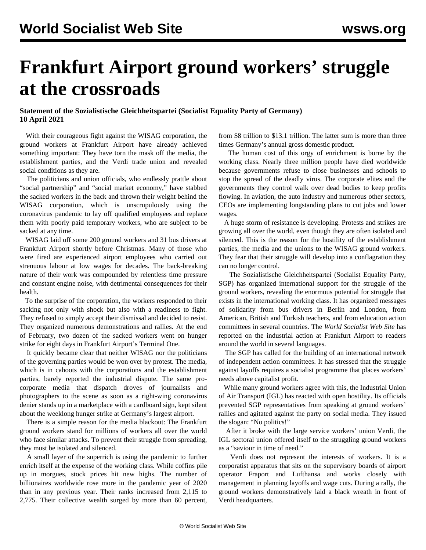## **Frankfurt Airport ground workers' struggle at the crossroads**

## **Statement of the Sozialistische Gleichheitspartei (Socialist Equality Party of Germany) 10 April 2021**

 With their courageous fight against the WISAG corporation, the ground workers at Frankfurt Airport have already achieved something important: They have torn the mask off the media, the establishment parties, and the Verdi trade union and revealed social conditions as they are.

 The politicians and union officials, who endlessly prattle about "social partnership" and "social market economy," have stabbed the sacked workers in the back and thrown their weight behind the WISAG corporation, which is unscrupulously using the coronavirus pandemic to lay off qualified employees and replace them with poorly paid temporary workers, who are subject to be sacked at any time.

 WISAG laid off some 200 ground workers and 31 bus drivers at Frankfurt Airport shortly before Christmas. Many of those who were fired are experienced airport employees who carried out strenuous labour at low wages for decades. The back-breaking nature of their work was compounded by relentless time pressure and constant engine noise, with detrimental consequences for their health.

 To the surprise of the corporation, the workers responded to their sacking not only with shock but also with a readiness to fight. They refused to simply accept their dismissal and decided to resist. They organized numerous demonstrations and rallies. At the end of February, two dozen of the sacked workers went on hunger strike for eight days in Frankfurt Airport's Terminal One.

 It quickly became clear that neither WISAG nor the politicians of the governing parties would be won over by protest. The media, which is in cahoots with the corporations and the establishment parties, barely reported the industrial dispute. The same procorporate media that dispatch droves of journalists and photographers to the scene as soon as a right-wing coronavirus denier stands up in a marketplace with a cardboard sign, kept silent about the weeklong hunger strike at Germany's largest airport.

 There is a simple reason for the media blackout: The Frankfurt ground workers stand for millions of workers all over the world who face similar attacks. To prevent their struggle from spreading, they must be isolated and silenced.

 A small layer of the superrich is using the pandemic to further enrich itself at the expense of the working class. While coffins pile up in morgues, stock prices hit new highs. The number of billionaires worldwide rose more in the pandemic year of 2020 than in any previous year. Their ranks increased from 2,115 to 2,775. Their collective wealth surged by more than 60 percent, from \$8 trillion to \$13.1 trillion. The latter sum is more than three times Germany's annual gross domestic product.

 The human cost of this orgy of enrichment is borne by the working class. Nearly three million people have died worldwide because governments refuse to close businesses and schools to stop the spread of the deadly virus. The corporate elites and the governments they control walk over dead bodies to keep profits flowing. In aviation, the auto industry and numerous other sectors, CEOs are implementing longstanding plans to cut jobs and lower wages.

 A huge storm of resistance is developing. Protests and strikes are growing all over the world, even though they are often isolated and silenced. This is the reason for the hostility of the establishment parties, the media and the unions to the WISAG ground workers. They fear that their struggle will develop into a conflagration they can no longer control.

 The Sozialistische Gleichheitspartei (Socialist Equality Party, SGP) has organized international support for the struggle of the ground workers, revealing the enormous potential for struggle that exists in the international working class. It has organized messages of solidarity from bus drivers in Berlin and London, from American, British and Turkish teachers, and from education action committees in several countries. The *World Socialist Web Site* has reported on the industrial action at Frankfurt Airport to readers around the world in several languages.

 The SGP has called for the building of an international network of independent action committees. It has stressed that the struggle against layoffs requires a socialist programme that places workers' needs above capitalist profit.

 While many ground workers agree with this, the Industrial Union of Air Transport (IGL) has reacted with open hostility. Its officials prevented SGP representatives from speaking at ground workers' rallies and agitated against the party on social media. They issued the slogan: "No politics!"

 After it broke with the large service workers' union Verdi, the IGL sectoral union offered itself to the struggling ground workers as a "saviour in time of need."

 Verdi does not represent the interests of workers. It is a corporatist apparatus that sits on the supervisory boards of airport operator Fraport and Lufthansa and works closely with management in planning layoffs and wage cuts. During a rally, the ground workers demonstratively laid a black wreath in front of Verdi headquarters.